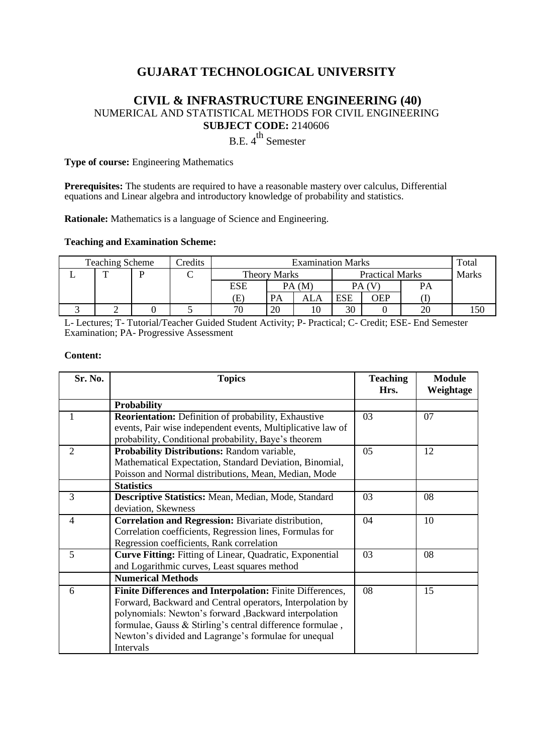# **GUJARAT TECHNOLOGICAL UNIVERSITY**

## **CIVIL & INFRASTRUCTURE ENGINEERING (40)** NUMERICAL AND STATISTICAL METHODS FOR CIVIL ENGINEERING **SUBJECT CODE:** 2140606

 $B.E. 4<sup>th</sup>$  Semester

**Type of course:** Engineering Mathematics

**Prerequisites:** The students are required to have a reasonable mastery over calculus, Differential equations and Linear algebra and introductory knowledge of probability and statistics.

**Rationale:** Mathematics is a language of Science and Engineering.

#### **Teaching and Examination Scheme:**

| <b>Predits</b><br><b>Teaching Scheme</b> |              |  | <b>Examination Marks</b> |                     |           |                        |            | Total |              |     |
|------------------------------------------|--------------|--|--------------------------|---------------------|-----------|------------------------|------------|-------|--------------|-----|
|                                          | $\mathbf{r}$ |  |                          | <b>Theory Marks</b> |           | <b>Practical Marks</b> |            |       | <b>Marks</b> |     |
|                                          |              |  |                          | <b>ESE</b>          | PA (M)    |                        |            |       | <b>PA</b>    |     |
|                                          |              |  |                          | Έ.                  | <b>PA</b> | ALA                    | <b>ESE</b> | OEP   |              |     |
|                                          |              |  |                          | 70                  | 20        | 10                     | 30         |       | 20           | .50 |

L- Lectures; T- Tutorial/Teacher Guided Student Activity; P- Practical; C- Credit; ESE- End Semester Examination; PA- Progressive Assessment

#### **Content:**

| Sr. No.        | <b>Topics</b>                                                   | <b>Teaching</b><br>Hrs. | <b>Module</b><br>Weightage |
|----------------|-----------------------------------------------------------------|-------------------------|----------------------------|
|                | <b>Probability</b>                                              |                         |                            |
|                | <b>Reorientation:</b> Definition of probability, Exhaustive     | 03                      | 07                         |
|                | events, Pair wise independent events, Multiplicative law of     |                         |                            |
|                | probability, Conditional probability, Baye's theorem            |                         |                            |
| $\overline{2}$ | Probability Distributions: Random variable,                     | 05                      | 12                         |
|                | Mathematical Expectation, Standard Deviation, Binomial,         |                         |                            |
|                | Poisson and Normal distributions, Mean, Median, Mode            |                         |                            |
|                | <b>Statistics</b>                                               |                         |                            |
| 3              | Descriptive Statistics: Mean, Median, Mode, Standard            | 03                      | 08                         |
|                | deviation, Skewness                                             |                         |                            |
| $\overline{4}$ | Correlation and Regression: Bivariate distribution,             | 04                      | 10                         |
|                | Correlation coefficients, Regression lines, Formulas for        |                         |                            |
|                | Regression coefficients, Rank correlation                       |                         |                            |
| 5              | <b>Curve Fitting:</b> Fitting of Linear, Quadratic, Exponential | 03                      | 08                         |
|                | and Logarithmic curves, Least squares method                    |                         |                            |
|                | <b>Numerical Methods</b>                                        |                         |                            |
| 6              | Finite Differences and Interpolation: Finite Differences,       | 08                      | 15                         |
|                | Forward, Backward and Central operators, Interpolation by       |                         |                            |
|                | polynomials: Newton's forward , Backward interpolation          |                         |                            |
|                | formulae, Gauss & Stirling's central difference formulae,       |                         |                            |
|                | Newton's divided and Lagrange's formulae for unequal            |                         |                            |
|                | Intervals                                                       |                         |                            |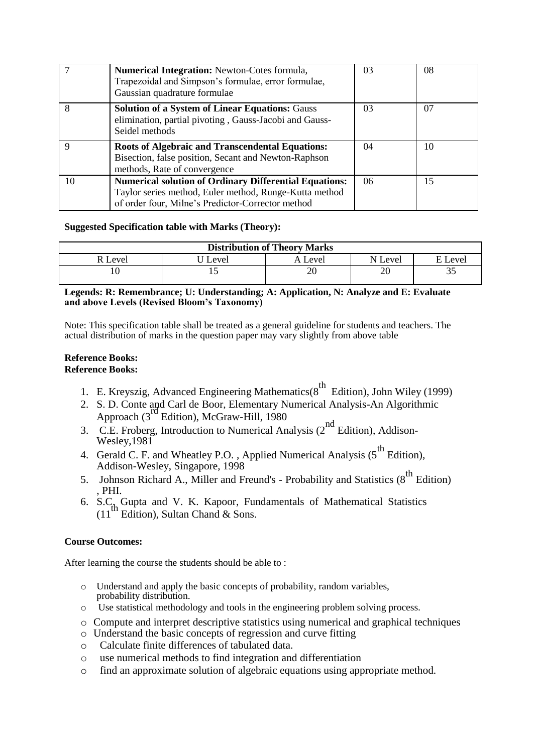|    | <b>Numerical Integration:</b> Newton-Cotes formula,<br>Trapezoidal and Simpson's formulae, error formulae,<br>Gaussian quadrature formulae                                   | 03 | 08 |
|----|------------------------------------------------------------------------------------------------------------------------------------------------------------------------------|----|----|
| 8  | <b>Solution of a System of Linear Equations: Gauss</b><br>elimination, partial pivoting, Gauss-Jacobi and Gauss-<br>Seidel methods                                           | 03 | 07 |
| Q  | <b>Roots of Algebraic and Transcendental Equations:</b><br>Bisection, false position, Secant and Newton-Raphson<br>methods, Rate of convergence                              | 04 | 10 |
| 10 | <b>Numerical solution of Ordinary Differential Equations:</b><br>Taylor series method, Euler method, Runge-Kutta method<br>of order four, Milne's Predictor-Corrector method | 06 | 15 |

### **Suggested Specification table with Marks (Theory):**

| <b>Distribution of Theory Marks</b> |       |                     |          |         |  |  |  |
|-------------------------------------|-------|---------------------|----------|---------|--|--|--|
| Level                               | ∟evel | A Level             | N Level  | E Level |  |  |  |
|                                     |       | $\mathcal{L}$<br>ZU | oc<br>ΖU | ັ       |  |  |  |

#### **Legends: R: Remembrance; U: Understanding; A: Application, N: Analyze and E: Evaluate and above Levels (Revised Bloom's Taxonomy)**

Note: This specification table shall be treated as a general guideline for students and teachers. The actual distribution of marks in the question paper may vary slightly from above table

#### **Reference Books: Reference Books:**

- 1. E. Kreyszig, Advanced Engineering Mathematics( $8^{th}$  Edition), John Wiley (1999)
- 2. S. D. Conte and Carl de Boor, Elementary Numerical Analysis-An Algorithmic Approach  $(3^{\text{rd}})$  Edition), McGraw-Hill, 1980
- 3. C.E. Froberg, Introduction to Numerical Analysis  $(2^{nd}$  Edition), Addison-Wesley, 1981
- 4. Gerald C. F. and Wheatley P.O., Applied Numerical Analysis (5<sup>th</sup> Edition), Addison-Wesley, Singapore, 1998
- 5. [Johnson Richard A.,](http://www.amazon.in/s/ref=dp_byline_sr_book_1?ie=UTF8&field-author=Johnson+Richard+A.&search-alias=stripbooks) Miller and Freund's Probability and Statistics (8<sup>th</sup> Edition) , PHI.
- 6.  $S.C<sub>th</sub><sup>7</sup>$  Gupta and V. K. Kapoor, Fundamentals of Mathematical Statistics  $(11^{th}$  Edition), Sultan Chand & Sons.

## **Course Outcomes:**

After learning the course the students should be able to :

- o Understand and apply the basic concepts of probability, random variables, probability distribution.
- o Use statistical methodology and tools in the engineering problem solving process.
- o Compute and interpret descriptive statistics using numerical and graphical techniques
- o Understand the basic concepts of regression and curve fitting
- o Calculate finite differences of tabulated data.
- o use numerical methods to find integration and differentiation
- o find an approximate solution of algebraic equations using appropriate method.